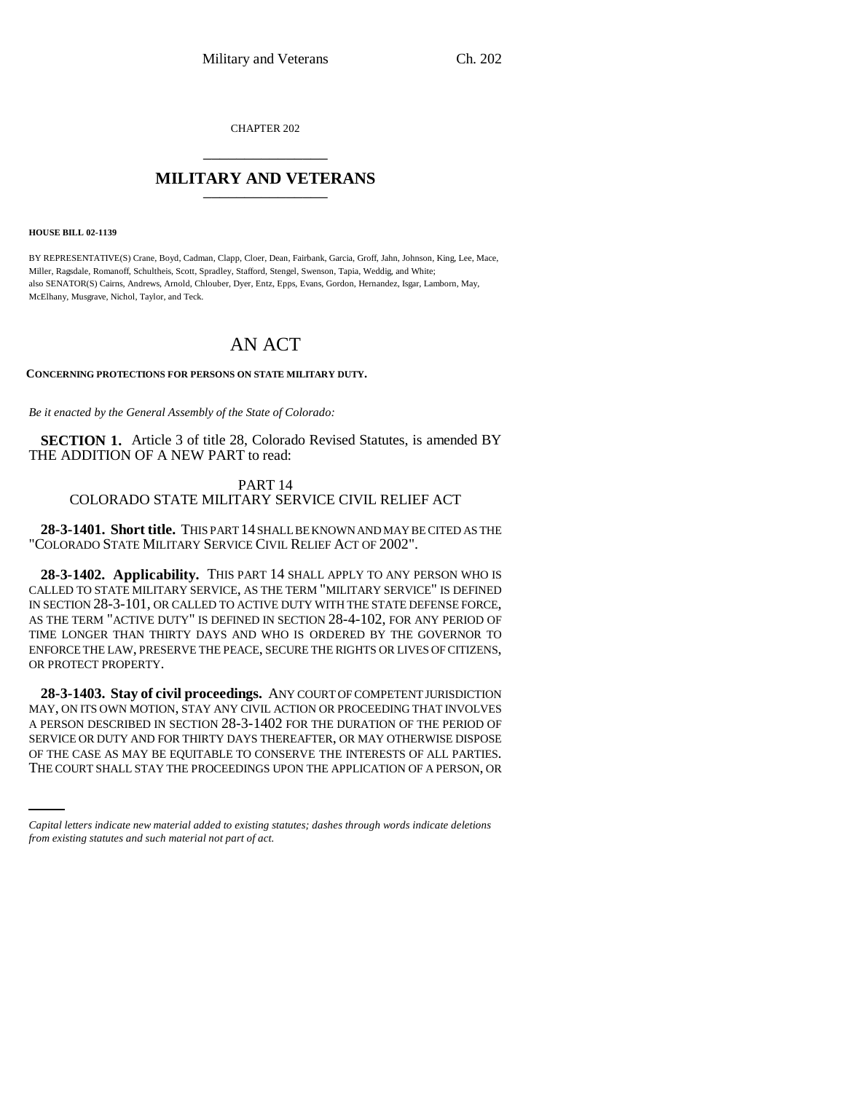CHAPTER 202 \_\_\_\_\_\_\_\_\_\_\_\_\_\_\_

# **MILITARY AND VETERANS** \_\_\_\_\_\_\_\_\_\_\_\_\_\_\_

**HOUSE BILL 02-1139**

BY REPRESENTATIVE(S) Crane, Boyd, Cadman, Clapp, Cloer, Dean, Fairbank, Garcia, Groff, Jahn, Johnson, King, Lee, Mace, Miller, Ragsdale, Romanoff, Schultheis, Scott, Spradley, Stafford, Stengel, Swenson, Tapia, Weddig, and White; also SENATOR(S) Cairns, Andrews, Arnold, Chlouber, Dyer, Entz, Epps, Evans, Gordon, Hernandez, Isgar, Lamborn, May, McElhany, Musgrave, Nichol, Taylor, and Teck.

# AN ACT

### **CONCERNING PROTECTIONS FOR PERSONS ON STATE MILITARY DUTY.**

*Be it enacted by the General Assembly of the State of Colorado:*

**SECTION 1.** Article 3 of title 28, Colorado Revised Statutes, is amended BY THE ADDITION OF A NEW PART to read:

## PART 14 COLORADO STATE MILITARY SERVICE CIVIL RELIEF ACT

**28-3-1401. Short title.** THIS PART 14 SHALL BE KNOWN AND MAY BE CITED AS THE "COLORADO STATE MILITARY SERVICE CIVIL RELIEF ACT OF 2002".

**28-3-1402. Applicability.** THIS PART 14 SHALL APPLY TO ANY PERSON WHO IS CALLED TO STATE MILITARY SERVICE, AS THE TERM "MILITARY SERVICE" IS DEFINED IN SECTION 28-3-101, OR CALLED TO ACTIVE DUTY WITH THE STATE DEFENSE FORCE, AS THE TERM "ACTIVE DUTY" IS DEFINED IN SECTION 28-4-102, FOR ANY PERIOD OF TIME LONGER THAN THIRTY DAYS AND WHO IS ORDERED BY THE GOVERNOR TO ENFORCE THE LAW, PRESERVE THE PEACE, SECURE THE RIGHTS OR LIVES OF CITIZENS, OR PROTECT PROPERTY.

SERVICE OR DUTY AND FOR THIRTY DAYS THEREAFTER, OR MAY OTHERWISE DISPOSE **28-3-1403. Stay of civil proceedings.** ANY COURT OF COMPETENT JURISDICTION MAY, ON ITS OWN MOTION, STAY ANY CIVIL ACTION OR PROCEEDING THAT INVOLVES A PERSON DESCRIBED IN SECTION 28-3-1402 FOR THE DURATION OF THE PERIOD OF OF THE CASE AS MAY BE EQUITABLE TO CONSERVE THE INTERESTS OF ALL PARTIES. THE COURT SHALL STAY THE PROCEEDINGS UPON THE APPLICATION OF A PERSON, OR

*Capital letters indicate new material added to existing statutes; dashes through words indicate deletions from existing statutes and such material not part of act.*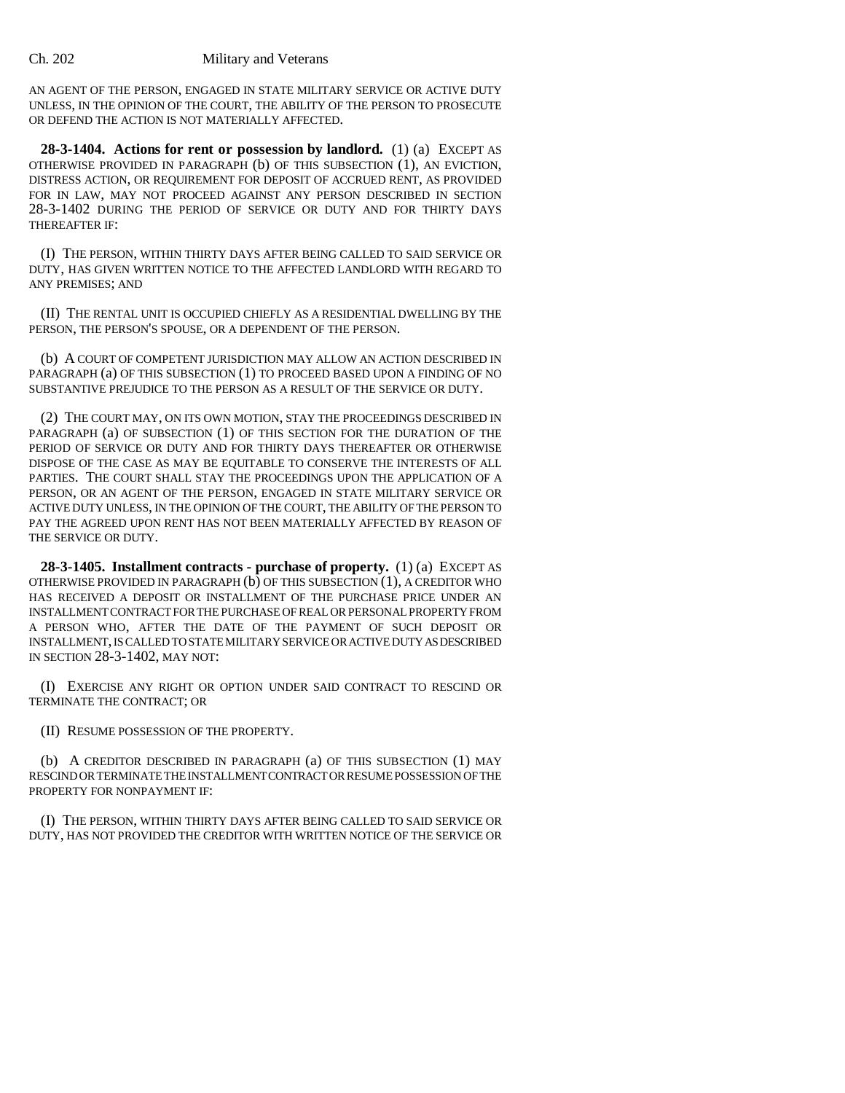AN AGENT OF THE PERSON, ENGAGED IN STATE MILITARY SERVICE OR ACTIVE DUTY UNLESS, IN THE OPINION OF THE COURT, THE ABILITY OF THE PERSON TO PROSECUTE OR DEFEND THE ACTION IS NOT MATERIALLY AFFECTED.

**28-3-1404. Actions for rent or possession by landlord.** (1) (a) EXCEPT AS OTHERWISE PROVIDED IN PARAGRAPH (b) OF THIS SUBSECTION (1), AN EVICTION, DISTRESS ACTION, OR REQUIREMENT FOR DEPOSIT OF ACCRUED RENT, AS PROVIDED FOR IN LAW, MAY NOT PROCEED AGAINST ANY PERSON DESCRIBED IN SECTION 28-3-1402 DURING THE PERIOD OF SERVICE OR DUTY AND FOR THIRTY DAYS THEREAFTER IF:

(I) THE PERSON, WITHIN THIRTY DAYS AFTER BEING CALLED TO SAID SERVICE OR DUTY, HAS GIVEN WRITTEN NOTICE TO THE AFFECTED LANDLORD WITH REGARD TO ANY PREMISES; AND

(II) THE RENTAL UNIT IS OCCUPIED CHIEFLY AS A RESIDENTIAL DWELLING BY THE PERSON, THE PERSON'S SPOUSE, OR A DEPENDENT OF THE PERSON.

(b) A COURT OF COMPETENT JURISDICTION MAY ALLOW AN ACTION DESCRIBED IN PARAGRAPH (a) OF THIS SUBSECTION (1) TO PROCEED BASED UPON A FINDING OF NO SUBSTANTIVE PREJUDICE TO THE PERSON AS A RESULT OF THE SERVICE OR DUTY.

(2) THE COURT MAY, ON ITS OWN MOTION, STAY THE PROCEEDINGS DESCRIBED IN PARAGRAPH (a) OF SUBSECTION (1) OF THIS SECTION FOR THE DURATION OF THE PERIOD OF SERVICE OR DUTY AND FOR THIRTY DAYS THEREAFTER OR OTHERWISE DISPOSE OF THE CASE AS MAY BE EQUITABLE TO CONSERVE THE INTERESTS OF ALL PARTIES. THE COURT SHALL STAY THE PROCEEDINGS UPON THE APPLICATION OF A PERSON, OR AN AGENT OF THE PERSON, ENGAGED IN STATE MILITARY SERVICE OR ACTIVE DUTY UNLESS, IN THE OPINION OF THE COURT, THE ABILITY OF THE PERSON TO PAY THE AGREED UPON RENT HAS NOT BEEN MATERIALLY AFFECTED BY REASON OF THE SERVICE OR DUTY.

**28-3-1405. Installment contracts - purchase of property.** (1) (a) EXCEPT AS OTHERWISE PROVIDED IN PARAGRAPH (b) OF THIS SUBSECTION (1), A CREDITOR WHO HAS RECEIVED A DEPOSIT OR INSTALLMENT OF THE PURCHASE PRICE UNDER AN INSTALLMENT CONTRACT FOR THE PURCHASE OF REAL OR PERSONAL PROPERTY FROM A PERSON WHO, AFTER THE DATE OF THE PAYMENT OF SUCH DEPOSIT OR INSTALLMENT, IS CALLED TO STATE MILITARY SERVICE OR ACTIVE DUTY AS DESCRIBED IN SECTION 28-3-1402, MAY NOT:

(I) EXERCISE ANY RIGHT OR OPTION UNDER SAID CONTRACT TO RESCIND OR TERMINATE THE CONTRACT; OR

(II) RESUME POSSESSION OF THE PROPERTY.

(b) A CREDITOR DESCRIBED IN PARAGRAPH (a) OF THIS SUBSECTION (1) MAY RESCIND OR TERMINATE THE INSTALLMENT CONTRACT OR RESUME POSSESSION OF THE PROPERTY FOR NONPAYMENT IF:

(I) THE PERSON, WITHIN THIRTY DAYS AFTER BEING CALLED TO SAID SERVICE OR DUTY, HAS NOT PROVIDED THE CREDITOR WITH WRITTEN NOTICE OF THE SERVICE OR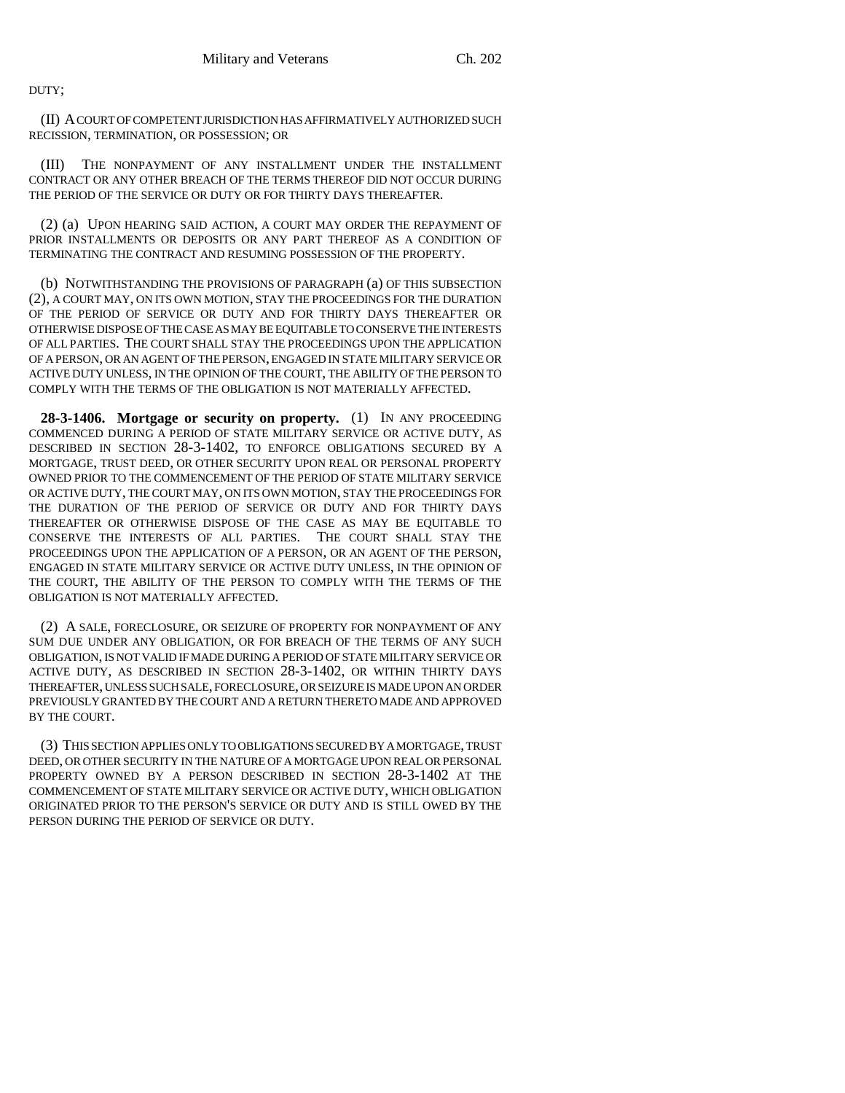DUTY;

(II) A COURT OF COMPETENT JURISDICTION HAS AFFIRMATIVELY AUTHORIZED SUCH RECISSION, TERMINATION, OR POSSESSION; OR

(III) THE NONPAYMENT OF ANY INSTALLMENT UNDER THE INSTALLMENT CONTRACT OR ANY OTHER BREACH OF THE TERMS THEREOF DID NOT OCCUR DURING THE PERIOD OF THE SERVICE OR DUTY OR FOR THIRTY DAYS THEREAFTER.

(2) (a) UPON HEARING SAID ACTION, A COURT MAY ORDER THE REPAYMENT OF PRIOR INSTALLMENTS OR DEPOSITS OR ANY PART THEREOF AS A CONDITION OF TERMINATING THE CONTRACT AND RESUMING POSSESSION OF THE PROPERTY.

(b) NOTWITHSTANDING THE PROVISIONS OF PARAGRAPH (a) OF THIS SUBSECTION (2), A COURT MAY, ON ITS OWN MOTION, STAY THE PROCEEDINGS FOR THE DURATION OF THE PERIOD OF SERVICE OR DUTY AND FOR THIRTY DAYS THEREAFTER OR OTHERWISE DISPOSE OF THE CASE AS MAY BE EQUITABLE TO CONSERVE THE INTERESTS OF ALL PARTIES. THE COURT SHALL STAY THE PROCEEDINGS UPON THE APPLICATION OF A PERSON, OR AN AGENT OF THE PERSON, ENGAGED IN STATE MILITARY SERVICE OR ACTIVE DUTY UNLESS, IN THE OPINION OF THE COURT, THE ABILITY OF THE PERSON TO COMPLY WITH THE TERMS OF THE OBLIGATION IS NOT MATERIALLY AFFECTED.

**28-3-1406. Mortgage or security on property.** (1) IN ANY PROCEEDING COMMENCED DURING A PERIOD OF STATE MILITARY SERVICE OR ACTIVE DUTY, AS DESCRIBED IN SECTION 28-3-1402, TO ENFORCE OBLIGATIONS SECURED BY A MORTGAGE, TRUST DEED, OR OTHER SECURITY UPON REAL OR PERSONAL PROPERTY OWNED PRIOR TO THE COMMENCEMENT OF THE PERIOD OF STATE MILITARY SERVICE OR ACTIVE DUTY, THE COURT MAY, ON ITS OWN MOTION, STAY THE PROCEEDINGS FOR THE DURATION OF THE PERIOD OF SERVICE OR DUTY AND FOR THIRTY DAYS THEREAFTER OR OTHERWISE DISPOSE OF THE CASE AS MAY BE EQUITABLE TO CONSERVE THE INTERESTS OF ALL PARTIES. THE COURT SHALL STAY THE PROCEEDINGS UPON THE APPLICATION OF A PERSON, OR AN AGENT OF THE PERSON, ENGAGED IN STATE MILITARY SERVICE OR ACTIVE DUTY UNLESS, IN THE OPINION OF THE COURT, THE ABILITY OF THE PERSON TO COMPLY WITH THE TERMS OF THE OBLIGATION IS NOT MATERIALLY AFFECTED.

(2) A SALE, FORECLOSURE, OR SEIZURE OF PROPERTY FOR NONPAYMENT OF ANY SUM DUE UNDER ANY OBLIGATION, OR FOR BREACH OF THE TERMS OF ANY SUCH OBLIGATION, IS NOT VALID IF MADE DURING A PERIOD OF STATE MILITARY SERVICE OR ACTIVE DUTY, AS DESCRIBED IN SECTION 28-3-1402, OR WITHIN THIRTY DAYS THEREAFTER, UNLESS SUCH SALE, FORECLOSURE, OR SEIZURE IS MADE UPON AN ORDER PREVIOUSLY GRANTED BY THE COURT AND A RETURN THERETO MADE AND APPROVED BY THE COURT.

(3) THIS SECTION APPLIES ONLY TO OBLIGATIONS SECURED BY A MORTGAGE, TRUST DEED, OR OTHER SECURITY IN THE NATURE OF A MORTGAGE UPON REAL OR PERSONAL PROPERTY OWNED BY A PERSON DESCRIBED IN SECTION 28-3-1402 AT THE COMMENCEMENT OF STATE MILITARY SERVICE OR ACTIVE DUTY, WHICH OBLIGATION ORIGINATED PRIOR TO THE PERSON'S SERVICE OR DUTY AND IS STILL OWED BY THE PERSON DURING THE PERIOD OF SERVICE OR DUTY.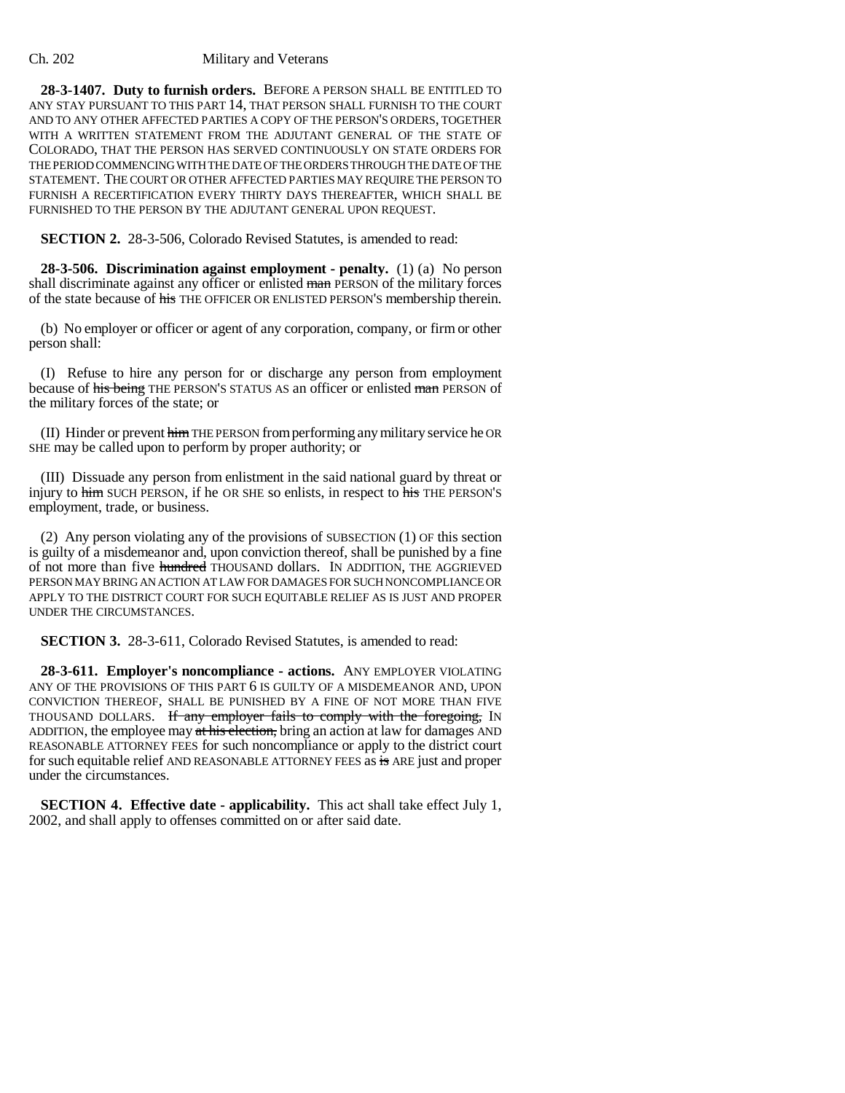### Ch. 202 Military and Veterans

**28-3-1407. Duty to furnish orders.** BEFORE A PERSON SHALL BE ENTITLED TO ANY STAY PURSUANT TO THIS PART 14, THAT PERSON SHALL FURNISH TO THE COURT AND TO ANY OTHER AFFECTED PARTIES A COPY OF THE PERSON'S ORDERS, TOGETHER WITH A WRITTEN STATEMENT FROM THE ADJUTANT GENERAL OF THE STATE OF COLORADO, THAT THE PERSON HAS SERVED CONTINUOUSLY ON STATE ORDERS FOR THE PERIOD COMMENCING WITH THE DATE OF THE ORDERS THROUGH THE DATE OF THE STATEMENT. THE COURT OR OTHER AFFECTED PARTIES MAY REQUIRE THE PERSON TO FURNISH A RECERTIFICATION EVERY THIRTY DAYS THEREAFTER, WHICH SHALL BE FURNISHED TO THE PERSON BY THE ADJUTANT GENERAL UPON REQUEST.

**SECTION 2.** 28-3-506, Colorado Revised Statutes, is amended to read:

**28-3-506. Discrimination against employment - penalty.** (1) (a) No person shall discriminate against any officer or enlisted man PERSON of the military forces of the state because of his THE OFFICER OR ENLISTED PERSON'S membership therein.

(b) No employer or officer or agent of any corporation, company, or firm or other person shall:

(I) Refuse to hire any person for or discharge any person from employment because of his being THE PERSON'S STATUS AS an officer or enlisted man PERSON of the military forces of the state; or

(II) Hinder or prevent himTHE PERSON from performing any military service he OR SHE may be called upon to perform by proper authority; or

(III) Dissuade any person from enlistment in the said national guard by threat or injury to him SUCH PERSON, if he OR SHE so enlists, in respect to his THE PERSON'S employment, trade, or business.

(2) Any person violating any of the provisions of SUBSECTION (1) OF this section is guilty of a misdemeanor and, upon conviction thereof, shall be punished by a fine of not more than five hundred THOUSAND dollars. IN ADDITION, THE AGGRIEVED PERSON MAY BRING AN ACTION AT LAW FOR DAMAGES FOR SUCH NONCOMPLIANCE OR APPLY TO THE DISTRICT COURT FOR SUCH EQUITABLE RELIEF AS IS JUST AND PROPER UNDER THE CIRCUMSTANCES.

**SECTION 3.** 28-3-611, Colorado Revised Statutes, is amended to read:

**28-3-611. Employer's noncompliance - actions.** ANY EMPLOYER VIOLATING ANY OF THE PROVISIONS OF THIS PART 6 IS GUILTY OF A MISDEMEANOR AND, UPON CONVICTION THEREOF, SHALL BE PUNISHED BY A FINE OF NOT MORE THAN FIVE THOUSAND DOLLARS. If any employer fails to comply with the foregoing, IN ADDITION, the employee may at his election, bring an action at law for damages AND REASONABLE ATTORNEY FEES for such noncompliance or apply to the district court for such equitable relief AND REASONABLE ATTORNEY FEES as is ARE just and proper under the circumstances.

**SECTION 4. Effective date - applicability.** This act shall take effect July 1, 2002, and shall apply to offenses committed on or after said date.